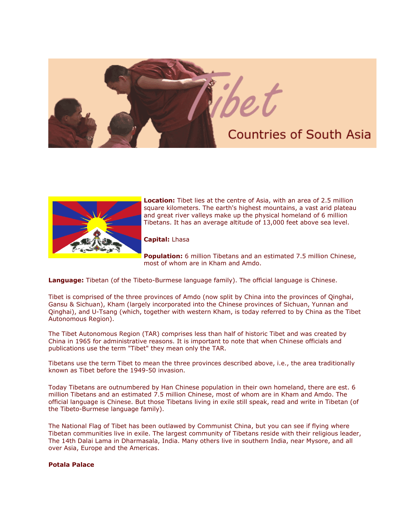



**Location:** Tibet lies at the centre of Asia, with an area of 2.5 million square kilometers. The earth's highest mountains, a vast arid plateau and great river valleys make up the physical homeland of 6 million Tibetans. It has an average altitude of 13,000 feet above sea level.

**Capital:** Lhasa

**Population:** 6 million Tibetans and an estimated 7.5 million Chinese, most of whom are in Kham and Amdo.

**Language:** Tibetan (of the Tibeto-Burmese language family). The official language is Chinese.

Tibet is comprised of the three provinces of Amdo (now split by China into the provinces of Qinghai, Gansu & Sichuan), Kham (largely incorporated into the Chinese provinces of Sichuan, Yunnan and Qinghai), and U-Tsang (which, together with western Kham, is today referred to by China as the Tibet Autonomous Region).

The Tibet Autonomous Region (TAR) comprises less than half of historic Tibet and was created by China in 1965 for administrative reasons. It is important to note that when Chinese officials and publications use the term "Tibet" they mean only the TAR.

Tibetans use the term Tibet to mean the three provinces described above, i.e., the area traditionally known as Tibet before the 1949-50 invasion.

Today Tibetans are outnumbered by Han Chinese population in their own homeland, there are est. 6 million Tibetans and an estimated 7.5 million Chinese, most of whom are in Kham and Amdo. The official language is Chinese. But those Tibetans living in exile still speak, read and write in Tibetan (of the Tibeto-Burmese language family).

The National Flag of Tibet has been outlawed by Communist China, but you can see if flying where Tibetan communities live in exile. The largest community of Tibetans reside with their religious leader, The 14th Dalai Lama in Dharmasala, India. Many others live in southern India, near Mysore, and all over Asia, Europe and the Americas.

## **Potala Palace**